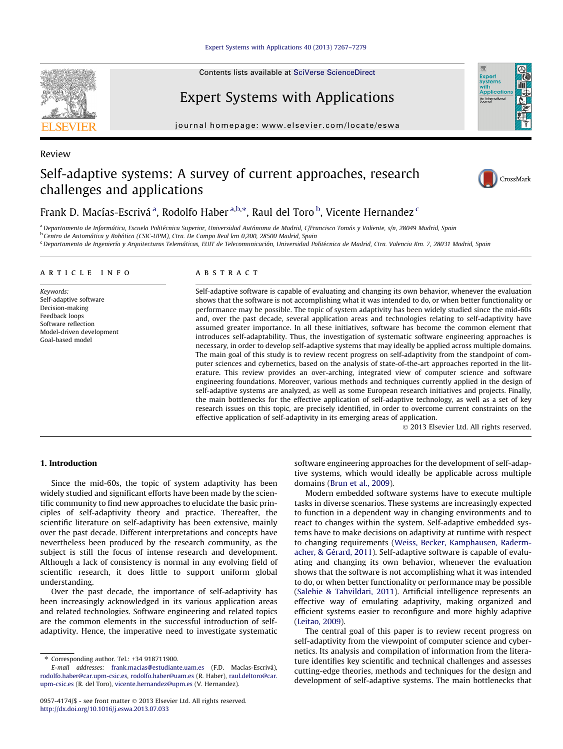## [Expert Systems with Applications 40 \(2013\) 7267–7279](http://dx.doi.org/10.1016/j.eswa.2013.07.033)

Contents lists available at [SciVerse ScienceDirect](http://www.sciencedirect.com/science/journal/09574174)

## Expert Systems with Applications

journal homepage: [www.elsevier.com/locate/eswa](http://www.elsevier.com/locate/eswa)

# Self-adaptive systems: A survey of current approaches, research challenges and applications



Expert<br>System: **Application** An Internation

Frank D. Macías-Escrivá<sup>a</sup>, Rodolfo Haber<sup>a,b,\*</sup>, Raul del Toro<sup>b</sup>, Vicente Hernandez<sup>c</sup>

a Departamento de Informática, Escuela Politécnica Superior, Universidad Autónoma de Madrid, C/Francisco Tomás y Valiente, s/n, 28049 Madrid, Spain <sup>b</sup> Centro de Automática y Robótica (CSIC-UPM), Ctra. De Campo Real km 0,200, 28500 Madrid, Spain

<sup>c</sup> Departamento de Ingeniería y Arquitecturas Telemáticas, EUIT de Telecomunicación, Universidad Politécnica de Madrid, Ctra. Valencia Km. 7, 28031 Madrid, Spain

## article info

Keywords: Self-adaptive software Decision-making Feedback loops Software reflection Model-driven development Goal-based model

## **ABSTRACT**

Self-adaptive software is capable of evaluating and changing its own behavior, whenever the evaluation shows that the software is not accomplishing what it was intended to do, or when better functionality or performance may be possible. The topic of system adaptivity has been widely studied since the mid-60s and, over the past decade, several application areas and technologies relating to self-adaptivity have assumed greater importance. In all these initiatives, software has become the common element that introduces self-adaptability. Thus, the investigation of systematic software engineering approaches is necessary, in order to develop self-adaptive systems that may ideally be applied across multiple domains. The main goal of this study is to review recent progress on self-adaptivity from the standpoint of computer sciences and cybernetics, based on the analysis of state-of-the-art approaches reported in the literature. This review provides an over-arching, integrated view of computer science and software engineering foundations. Moreover, various methods and techniques currently applied in the design of self-adaptive systems are analyzed, as well as some European research initiatives and projects. Finally, the main bottlenecks for the effective application of self-adaptive technology, as well as a set of key research issues on this topic, are precisely identified, in order to overcome current constraints on the effective application of self-adaptivity in its emerging areas of application.

- 2013 Elsevier Ltd. All rights reserved.

## 1. Introduction

Since the mid-60s, the topic of system adaptivity has been widely studied and significant efforts have been made by the scientific community to find new approaches to elucidate the basic principles of self-adaptivity theory and practice. Thereafter, the scientific literature on self-adaptivity has been extensive, mainly over the past decade. Different interpretations and concepts have nevertheless been produced by the research community, as the subject is still the focus of intense research and development. Although a lack of consistency is normal in any evolving field of scientific research, it does little to support uniform global understanding.

Over the past decade, the importance of self-adaptivity has been increasingly acknowledged in its various application areas and related technologies. Software engineering and related topics are the common elements in the successful introduction of selfadaptivity. Hence, the imperative need to investigate systematic software engineering approaches for the development of self-adaptive systems, which would ideally be applicable across multiple domains ([Brun et al., 2009](#page-11-0)).

Modern embedded software systems have to execute multiple tasks in diverse scenarios. These systems are increasingly expected to function in a dependent way in changing environments and to react to changes within the system. Self-adaptive embedded systems have to make decisions on adaptivity at runtime with respect to changing requirements ([Weiss, Becker, Kamphausen, Raderm](#page-12-0)[acher, & Gérard, 2011](#page-12-0)). Self-adaptive software is capable of evaluating and changing its own behavior, whenever the evaluation shows that the software is not accomplishing what it was intended to do, or when better functionality or performance may be possible ([Salehie & Tahvildari, 2011](#page-12-0)). Artificial intelligence represents an effective way of emulating adaptivity, making organized and efficient systems easier to reconfigure and more highly adaptive ([Leitao, 2009\)](#page-12-0).

The central goal of this paper is to review recent progress on self-adaptivity from the viewpoint of computer science and cybernetics. Its analysis and compilation of information from the literature identifies key scientific and technical challenges and assesses cutting-edge theories, methods and techniques for the design and development of self-adaptive systems. The main bottlenecks that



Review

<sup>⇑</sup> Corresponding author. Tel.: +34 918711900.

E-mail addresses: [frank.macias@estudiante.uam.es](mailto:frank.macias@estudiante.uam.es) (F.D. Macías-Escrivá), [rodolfo.haber@car.upm-csic.es,](mailto:rodolfo.haber@car.upm-csic.es) [rodolfo.haber@uam.es](mailto:rodolfo.haber@uam.es) (R. Haber), [raul.deltoro@car.](mailto:raul.deltoro@car.upm-csic.es) [upm-csic.es](mailto:raul.deltoro@car.upm-csic.es) (R. del Toro), [vicente.hernandez@upm.es](mailto:vicente.hernandez@upm.es) (V. Hernandez).

<sup>0957-4174/\$ -</sup> see front matter © 2013 Elsevier Ltd. All rights reserved. <http://dx.doi.org/10.1016/j.eswa.2013.07.033>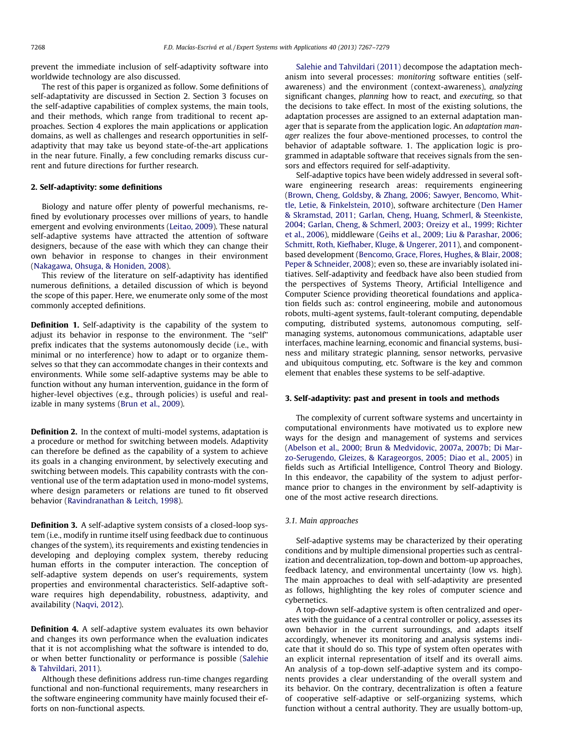prevent the immediate inclusion of self-adaptivity software into worldwide technology are also discussed.

The rest of this paper is organized as follow. Some definitions of self-adaptativity are discussed in Section 2. Section 3 focuses on the self-adaptive capabilities of complex systems, the main tools, and their methods, which range from traditional to recent approaches. Section 4 explores the main applications or application domains, as well as challenges and research opportunities in selfadaptivity that may take us beyond state-of-the-art applications in the near future. Finally, a few concluding remarks discuss current and future directions for further research.

## 2. Self-adaptivity: some definitions

Biology and nature offer plenty of powerful mechanisms, refined by evolutionary processes over millions of years, to handle emergent and evolving environments [\(Leitao, 2009](#page-12-0)). These natural self-adaptive systems have attracted the attention of software designers, because of the ease with which they can change their own behavior in response to changes in their environment ([Nakagawa, Ohsuga, & Honiden, 2008\)](#page-12-0).

This review of the literature on self-adaptivity has identified numerous definitions, a detailed discussion of which is beyond the scope of this paper. Here, we enumerate only some of the most commonly accepted definitions.

Definition 1. Self-adaptivity is the capability of the system to adjust its behavior in response to the environment. The ''self'' prefix indicates that the systems autonomously decide (i.e., with minimal or no interference) how to adapt or to organize themselves so that they can accommodate changes in their contexts and environments. While some self-adaptive systems may be able to function without any human intervention, guidance in the form of higher-level objectives (e.g., through policies) is useful and realizable in many systems ([Brun et al., 2009\)](#page-11-0).

Definition 2. In the context of multi-model systems, adaptation is a procedure or method for switching between models. Adaptivity can therefore be defined as the capability of a system to achieve its goals in a changing environment, by selectively executing and switching between models. This capability contrasts with the conventional use of the term adaptation used in mono-model systems, where design parameters or relations are tuned to fit observed behavior [\(Ravindranathan & Leitch, 1998\)](#page-12-0).

Definition 3. A self-adaptive system consists of a closed-loop system (i.e., modify in runtime itself using feedback due to continuous changes of the system), its requirements and existing tendencies in developing and deploying complex system, thereby reducing human efforts in the computer interaction. The conception of self-adaptive system depends on user's requirements, system properties and environmental characteristics. Self-adaptive software requires high dependability, robustness, adaptivity, and availability [\(Naqvi, 2012\)](#page-12-0).

Definition 4. A self-adaptive system evaluates its own behavior and changes its own performance when the evaluation indicates that it is not accomplishing what the software is intended to do, or when better functionality or performance is possible ([Salehie](#page-12-0) [& Tahvildari, 2011\)](#page-12-0).

Although these definitions address run-time changes regarding functional and non-functional requirements, many researchers in the software engineering community have mainly focused their efforts on non-functional aspects.

[Salehie and Tahvildari \(2011\)](#page-12-0) decompose the adaptation mechanism into several processes: monitoring software entities (selfawareness) and the environment (context-awareness), analyzing significant changes, planning how to react, and executing, so that the decisions to take effect. In most of the existing solutions, the adaptation processes are assigned to an external adaptation manager that is separate from the application logic. An adaptation manager realizes the four above-mentioned processes, to control the behavior of adaptable software. 1. The application logic is programmed in adaptable software that receives signals from the sensors and effectors required for self-adaptivity.

Self-adaptive topics have been widely addressed in several software engineering research areas: requirements engineering ([Brown, Cheng, Goldsby, & Zhang, 2006; Sawyer, Bencomo, Whit](#page-11-0)[tle, Letie, & Finkelstein, 2010](#page-11-0)), software architecture [\(Den Hamer](#page-11-0) [& Skramstad, 2011; Garlan, Cheng, Huang, Schmerl, & Steenkiste,](#page-11-0) [2004; Garlan, Cheng, & Schmerl, 2003; Oreizy et al., 1999; Richter](#page-11-0) [et al., 2006](#page-11-0)), middleware [\(Geihs et al., 2009; Liu & Parashar, 2006;](#page-11-0) [Schmitt, Roth, Kiefhaber, Kluge, & Ungerer, 2011\)](#page-11-0), and componentbased development ([Bencomo, Grace, Flores, Hughes, & Blair, 2008;](#page-11-0) [Peper & Schneider, 2008](#page-11-0)); even so, these are invariably isolated initiatives. Self-adaptivity and feedback have also been studied from the perspectives of Systems Theory, Artificial Intelligence and Computer Science providing theoretical foundations and application fields such as: control engineering, mobile and autonomous robots, multi-agent systems, fault-tolerant computing, dependable computing, distributed systems, autonomous computing, selfmanaging systems, autonomous communications, adaptable user interfaces, machine learning, economic and financial systems, business and military strategic planning, sensor networks, pervasive and ubiquitous computing, etc. Software is the key and common element that enables these systems to be self-adaptive.

## 3. Self-adaptivity: past and present in tools and methods

The complexity of current software systems and uncertainty in computational environments have motivated us to explore new ways for the design and management of systems and services ([Abelson et al., 2000; Brun & Medvidovic, 2007a, 2007b; Di Mar](#page-11-0)[zo-Serugendo, Gleizes, & Karageorgos, 2005; Diao et al., 2005](#page-11-0)) in fields such as Artificial Intelligence, Control Theory and Biology. In this endeavor, the capability of the system to adjust performance prior to changes in the environment by self-adaptivity is one of the most active research directions.

## 3.1. Main approaches

Self-adaptive systems may be characterized by their operating conditions and by multiple dimensional properties such as centralization and decentralization, top-down and bottom-up approaches, feedback latency, and environmental uncertainty (low vs. high). The main approaches to deal with self-adaptivity are presented as follows, highlighting the key roles of computer science and cybernetics.

A top-down self-adaptive system is often centralized and operates with the guidance of a central controller or policy, assesses its own behavior in the current surroundings, and adapts itself accordingly, whenever its monitoring and analysis systems indicate that it should do so. This type of system often operates with an explicit internal representation of itself and its overall aims. An analysis of a top-down self-adaptive system and its components provides a clear understanding of the overall system and its behavior. On the contrary, decentralization is often a feature of cooperative self-adaptive or self-organizing systems, which function without a central authority. They are usually bottom-up,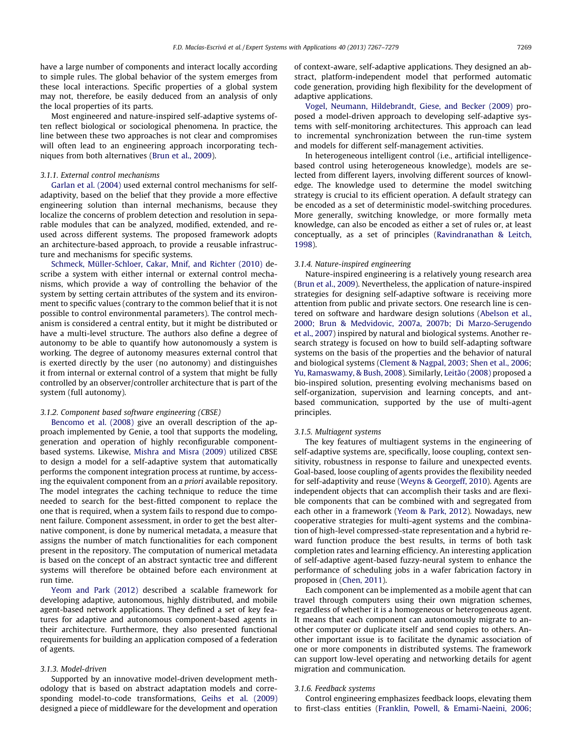have a large number of components and interact locally according to simple rules. The global behavior of the system emerges from these local interactions. Specific properties of a global system may not, therefore, be easily deduced from an analysis of only the local properties of its parts.

Most engineered and nature-inspired self-adaptive systems often reflect biological or sociological phenomena. In practice, the line between these two approaches is not clear and compromises will often lead to an engineering approach incorporating techniques from both alternatives [\(Brun et al., 2009](#page-11-0)).

## 3.1.1. External control mechanisms

[Garlan et al. \(2004\)](#page-11-0) used external control mechanisms for selfadaptivity, based on the belief that they provide a more effective engineering solution than internal mechanisms, because they localize the concerns of problem detection and resolution in separable modules that can be analyzed, modified, extended, and reused across different systems. The proposed framework adopts an architecture-based approach, to provide a reusable infrastructure and mechanisms for specific systems.

[Schmeck, Müller-Schloer, Cakar, Mnif, and Richter \(2010\)](#page-12-0) describe a system with either internal or external control mechanisms, which provide a way of controlling the behavior of the system by setting certain attributes of the system and its environment to specific values (contrary to the common belief that it is not possible to control environmental parameters). The control mechanism is considered a central entity, but it might be distributed or have a multi-level structure. The authors also define a degree of autonomy to be able to quantify how autonomously a system is working. The degree of autonomy measures external control that is exerted directly by the user (no autonomy) and distinguishes it from internal or external control of a system that might be fully controlled by an observer/controller architecture that is part of the system (full autonomy).

## 3.1.2. Component based software engineering (CBSE)

[Bencomo et al. \(2008\)](#page-11-0) give an overall description of the approach implemented by Genie, a tool that supports the modeling, generation and operation of highly reconfigurable componentbased systems. Likewise, [Mishra and Misra \(2009\)](#page-12-0) utilized CBSE to design a model for a self-adaptive system that automatically performs the component integration process at runtime, by accessing the equivalent component from an a priori available repository. The model integrates the caching technique to reduce the time needed to search for the best-fitted component to replace the one that is required, when a system fails to respond due to component failure. Component assessment, in order to get the best alternative component, is done by numerical metadata, a measure that assigns the number of match functionalities for each component present in the repository. The computation of numerical metadata is based on the concept of an abstract syntactic tree and different systems will therefore be obtained before each environment at run time.

[Yeom and Park \(2012\)](#page-12-0) described a scalable framework for developing adaptive, autonomous, highly distributed, and mobile agent-based network applications. They defined a set of key features for adaptive and autonomous component-based agents in their architecture. Furthermore, they also presented functional requirements for building an application composed of a federation of agents.

## 3.1.3. Model-driven

Supported by an innovative model-driven development methodology that is based on abstract adaptation models and corresponding model-to-code transformations, [Geihs et al. \(2009\)](#page-11-0) designed a piece of middleware for the development and operation of context-aware, self-adaptive applications. They designed an abstract, platform-independent model that performed automatic code generation, providing high flexibility for the development of adaptive applications.

[Vogel, Neumann, Hildebrandt, Giese, and Becker \(2009\)](#page-12-0) proposed a model-driven approach to developing self-adaptive systems with self-monitoring architectures. This approach can lead to incremental synchronization between the run-time system and models for different self-management activities.

In heterogeneous intelligent control (i.e., artificial intelligencebased control using heterogeneous knowledge), models are selected from different layers, involving different sources of knowledge. The knowledge used to determine the model switching strategy is crucial to its efficient operation. A default strategy can be encoded as a set of deterministic model-switching procedures. More generally, switching knowledge, or more formally meta knowledge, can also be encoded as either a set of rules or, at least conceptually, as a set of principles [\(Ravindranathan & Leitch,](#page-12-0) [1998\)](#page-12-0).

## 3.1.4. Nature-inspired engineering

Nature-inspired engineering is a relatively young research area ([Brun et al., 2009\)](#page-11-0). Nevertheless, the application of nature-inspired strategies for designing self-adaptive software is receiving more attention from public and private sectors. One research line is centered on software and hardware design solutions [\(Abelson et al.,](#page-11-0) [2000; Brun & Medvidovic, 2007a, 2007b; Di Marzo-Serugendo](#page-11-0) [et al., 2007](#page-11-0)) inspired by natural and biological systems. Another research strategy is focused on how to build self-adapting software systems on the basis of the properties and the behavior of natural and biological systems [\(Clement & Nagpal, 2003; Shen et al., 2006;](#page-11-0) [Yu, Ramaswamy, & Bush, 2008\)](#page-12-0). Similarly, [Leitão \(2008\)](#page-12-0) proposed a bio-inspired solution, presenting evolving mechanisms based on self-organization, supervision and learning concepts, and antbased communication, supported by the use of multi-agent principles.

#### 3.1.5. Multiagent systems

The key features of multiagent systems in the engineering of self-adaptive systems are, specifically, loose coupling, context sensitivity, robustness in response to failure and unexpected events. Goal-based, loose coupling of agents provides the flexibility needed for self-adaptivity and reuse ([Weyns & Georgeff, 2010](#page-12-0)). Agents are independent objects that can accomplish their tasks and are flexible components that can be combined with and segregated from each other in a framework ([Yeom & Park, 2012](#page-12-0)). Nowadays, new cooperative strategies for multi-agent systems and the combination of high-level compressed-state representation and a hybrid reward function produce the best results, in terms of both task completion rates and learning efficiency. An interesting application of self-adaptive agent-based fuzzy-neural system to enhance the performance of scheduling jobs in a wafer fabrication factory in proposed in [\(Chen, 2011\)](#page-11-0).

Each component can be implemented as a mobile agent that can travel through computers using their own migration schemes, regardless of whether it is a homogeneous or heterogeneous agent. It means that each component can autonomously migrate to another computer or duplicate itself and send copies to others. Another important issue is to facilitate the dynamic association of one or more components in distributed systems. The framework can support low-level operating and networking details for agent migration and communication.

## 3.1.6. Feedback systems

Control engineering emphasizes feedback loops, elevating them to first-class entities ([Franklin, Powell, & Emami-Naeini, 2006;](#page-11-0)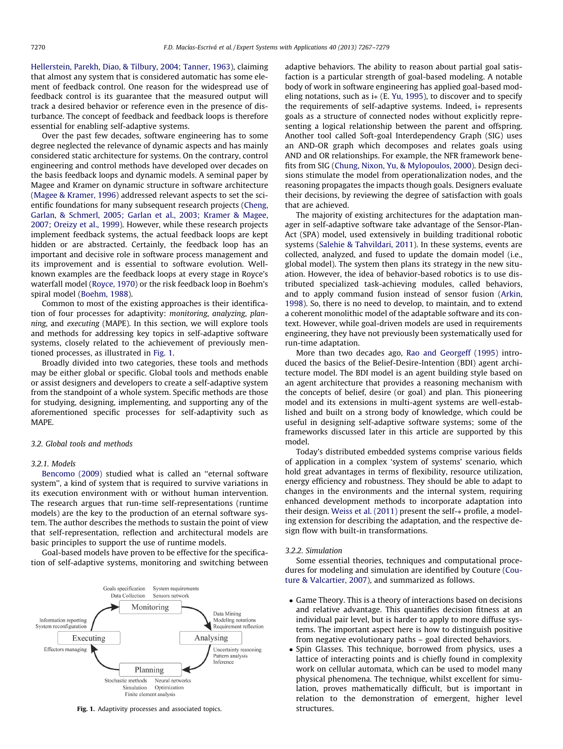[Hellerstein, Parekh, Diao, & Tilbury, 2004; Tanner, 1963\)](#page-11-0), claiming that almost any system that is considered automatic has some element of feedback control. One reason for the widespread use of feedback control is its guarantee that the measured output will track a desired behavior or reference even in the presence of disturbance. The concept of feedback and feedback loops is therefore essential for enabling self-adaptive systems.

Over the past few decades, software engineering has to some degree neglected the relevance of dynamic aspects and has mainly considered static architecture for systems. On the contrary, control engineering and control methods have developed over decades on the basis feedback loops and dynamic models. A seminal paper by Magee and Kramer on dynamic structure in software architecture ([Magee & Kramer, 1996\)](#page-12-0) addressed relevant aspects to set the scientific foundations for many subsequent research projects [\(Cheng,](#page-11-0) [Garlan, & Schmerl, 2005; Garlan et al., 2003; Kramer & Magee,](#page-11-0) [2007; Oreizy et al., 1999](#page-11-0)). However, while these research projects implement feedback systems, the actual feedback loops are kept hidden or are abstracted. Certainly, the feedback loop has an important and decisive role in software process management and its improvement and is essential to software evolution. Wellknown examples are the feedback loops at every stage in Royce's waterfall model [\(Royce, 1970\)](#page-12-0) or the risk feedback loop in Boehm's spiral model ([Boehm, 1988\)](#page-11-0).

Common to most of the existing approaches is their identification of four processes for adaptivity: monitoring, analyzing, planning, and executing (MAPE). In this section, we will explore tools and methods for addressing key topics in self-adaptive software systems, closely related to the achievement of previously mentioned processes, as illustrated in Fig. 1.

Broadly divided into two categories, these tools and methods may be either global or specific. Global tools and methods enable or assist designers and developers to create a self-adaptive system from the standpoint of a whole system. Specific methods are those for studying, designing, implementing, and supporting any of the aforementioned specific processes for self-adaptivity such as MAPE.

## 3.2. Global tools and methods

## 3.2.1. Models

[Bencomo \(2009\)](#page-11-0) studied what is called an ''eternal software system'', a kind of system that is required to survive variations in its execution environment with or without human intervention. The research argues that run-time self-representations (runtime models) are the key to the production of an eternal software system. The author describes the methods to sustain the point of view that self-representation, reflection and architectural models are basic principles to support the use of runtime models.

Goal-based models have proven to be effective for the specification of self-adaptive systems, monitoring and switching between



Fig. 1. Adaptivity processes and associated topics. Structures.

adaptive behaviors. The ability to reason about partial goal satisfaction is a particular strength of goal-based modeling. A notable body of work in software engineering has applied goal-based modeling notations, such as  $i*(E, Yu, 1995)$  $i*(E, Yu, 1995)$ , to discover and to specify the requirements of self-adaptive systems. Indeed,  $i*$  represents goals as a structure of connected nodes without explicitly representing a logical relationship between the parent and offspring. Another tool called Soft-goal Interdependency Graph (SIG) uses an AND-OR graph which decomposes and relates goals using AND and OR relationships. For example, the NFR framework benefits from SIG [\(Chung, Nixon, Yu, & Mylopoulos, 2000\)](#page-11-0). Design decisions stimulate the model from operationalization nodes, and the reasoning propagates the impacts though goals. Designers evaluate their decisions, by reviewing the degree of satisfaction with goals that are achieved.

The majority of existing architectures for the adaptation manager in self-adaptive software take advantage of the Sensor-Plan-Act (SPA) model, used extensively in building traditional robotic systems ([Salehie & Tahvildari, 2011\)](#page-12-0). In these systems, events are collected, analyzed, and fused to update the domain model (i.e., global model). The system then plans its strategy in the new situation. However, the idea of behavior-based robotics is to use distributed specialized task-achieving modules, called behaviors, and to apply command fusion instead of sensor fusion [\(Arkin,](#page-11-0) [1998\)](#page-11-0). So, there is no need to develop, to maintain, and to extend a coherent monolithic model of the adaptable software and its context. However, while goal-driven models are used in requirements engineering, they have not previously been systematically used for run-time adaptation.

More than two decades ago, [Rao and Georgeff \(1995\)](#page-12-0) introduced the basics of the Belief-Desire-Intention (BDI) agent architecture model. The BDI model is an agent building style based on an agent architecture that provides a reasoning mechanism with the concepts of belief, desire (or goal) and plan. This pioneering model and its extensions in multi-agent systems are well-established and built on a strong body of knowledge, which could be useful in designing self-adaptive software systems; some of the frameworks discussed later in this article are supported by this model.

Today's distributed embedded systems comprise various fields of application in a complex 'system of systems' scenario, which hold great advantages in terms of flexibility, resource utilization, energy efficiency and robustness. They should be able to adapt to changes in the environments and the internal system, requiring enhanced development methods to incorporate adaptation into their design. [Weiss et al. \(2011\)](#page-12-0) present the self- $*$  profile, a modeling extension for describing the adaptation, and the respective design flow with built-in transformations.

#### 3.2.2. Simulation

Some essential theories, techniques and computational procedures for modeling and simulation are identified by Couture ([Cou](#page-11-0)[ture & Valcartier, 2007](#page-11-0)), and summarized as follows.

- Game Theory. This is a theory of interactions based on decisions and relative advantage. This quantifies decision fitness at an individual pair level, but is harder to apply to more diffuse systems. The important aspect here is how to distinguish positive from negative evolutionary paths – goal directed behaviors.
- Spin Glasses. This technique, borrowed from physics, uses a lattice of interacting points and is chiefly found in complexity work on cellular automata, which can be used to model many physical phenomena. The technique, whilst excellent for simulation, proves mathematically difficult, but is important in relation to the demonstration of emergent, higher level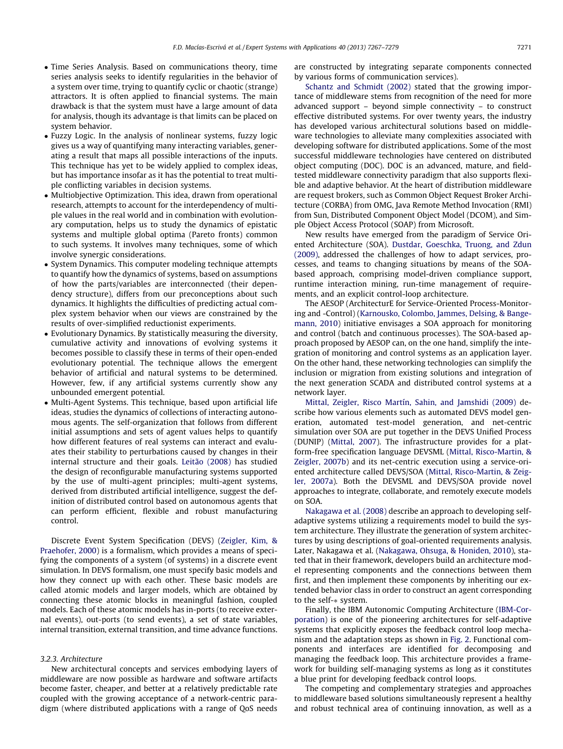- Time Series Analysis. Based on communications theory, time series analysis seeks to identify regularities in the behavior of a system over time, trying to quantify cyclic or chaotic (strange) attractors. It is often applied to financial systems. The main drawback is that the system must have a large amount of data for analysis, though its advantage is that limits can be placed on system behavior.
- Fuzzy Logic. In the analysis of nonlinear systems, fuzzy logic gives us a way of quantifying many interacting variables, generating a result that maps all possible interactions of the inputs. This technique has yet to be widely applied to complex ideas, but has importance insofar as it has the potential to treat multiple conflicting variables in decision systems.
- Multiobjective Optimization. This idea, drawn from operational research, attempts to account for the interdependency of multiple values in the real world and in combination with evolutionary computation, helps us to study the dynamics of epistatic systems and multiple global optima (Pareto fronts) common to such systems. It involves many techniques, some of which involve synergic considerations.
- System Dynamics. This computer modeling technique attempts to quantify how the dynamics of systems, based on assumptions of how the parts/variables are interconnected (their dependency structure), differs from our preconceptions about such dynamics. It highlights the difficulties of predicting actual complex system behavior when our views are constrained by the results of over-simplified reductionist experiments.
- Evolutionary Dynamics. By statistically measuring the diversity, cumulative activity and innovations of evolving systems it becomes possible to classify these in terms of their open-ended evolutionary potential. The technique allows the emergent behavior of artificial and natural systems to be determined. However, few, if any artificial systems currently show any unbounded emergent potential.
- Multi-Agent Systems. This technique, based upon artificial life ideas, studies the dynamics of collections of interacting autonomous agents. The self-organization that follows from different initial assumptions and sets of agent values helps to quantify how different features of real systems can interact and evaluates their stability to perturbations caused by changes in their internal structure and their goals. [Leitão \(2008\)](#page-12-0) has studied the design of reconfigurable manufacturing systems supported by the use of multi-agent principles; multi-agent systems, derived from distributed artificial intelligence, suggest the definition of distributed control based on autonomous agents that can perform efficient, flexible and robust manufacturing control.

Discrete Event System Specification (DEVS) ([Zeigler, Kim, &](#page-12-0) [Praehofer, 2000](#page-12-0)) is a formalism, which provides a means of specifying the components of a system (of systems) in a discrete event simulation. In DEVS formalism, one must specify basic models and how they connect up with each other. These basic models are called atomic models and larger models, which are obtained by connecting these atomic blocks in meaningful fashion, coupled models. Each of these atomic models has in-ports (to receive external events), out-ports (to send events), a set of state variables, internal transition, external transition, and time advance functions.

## 3.2.3. Architecture

New architectural concepts and services embodying layers of middleware are now possible as hardware and software artifacts become faster, cheaper, and better at a relatively predictable rate coupled with the growing acceptance of a network-centric paradigm (where distributed applications with a range of QoS needs

are constructed by integrating separate components connected by various forms of communication services).

[Schantz and Schmidt \(2002\)](#page-12-0) stated that the growing importance of middleware stems from recognition of the need for more advanced support – beyond simple connectivity – to construct effective distributed systems. For over twenty years, the industry has developed various architectural solutions based on middleware technologies to alleviate many complexities associated with developing software for distributed applications. Some of the most successful middleware technologies have centered on distributed object computing (DOC). DOC is an advanced, mature, and fieldtested middleware connectivity paradigm that also supports flexible and adaptive behavior. At the heart of distribution middleware are request brokers, such as Common Object Request Broker Architecture (CORBA) from OMG, Java Remote Method Invocation (RMI) from Sun, Distributed Component Object Model (DCOM), and Simple Object Access Protocol (SOAP) from Microsoft.

New results have emerged from the paradigm of Service Oriented Architecture (SOA). [Dustdar, Goeschka, Truong, and Zdun](#page-11-0) [\(2009\)](#page-11-0), addressed the challenges of how to adapt services, processes, and teams to changing situations by means of the SOAbased approach, comprising model-driven compliance support, runtime interaction mining, run-time management of requirements, and an explicit control-loop architecture.

The AESOP (ArchitecturE for Service-Oriented Process-Monitoring and -Control) [\(Karnousko, Colombo, Jammes, Delsing, & Bange](#page-12-0)[mann, 2010](#page-12-0)) initiative envisages a SOA approach for monitoring and control (batch and continuous processes). The SOA-based approach proposed by AESOP can, on the one hand, simplify the integration of monitoring and control systems as an application layer. On the other hand, these networking technologies can simplify the inclusion or migration from existing solutions and integration of the next generation SCADA and distributed control systems at a network layer.

[Mittal, Zeigler, Risco Martín, Sahin, and Jamshidi \(2009\)](#page-12-0) describe how various elements such as automated DEVS model generation, automated test-model generation, and net-centric simulation over SOA are put together in the DEVS Unified Process (DUNIP) [\(Mittal, 2007\)](#page-12-0). The infrastructure provides for a platform-free specification language DEVSML ([Mittal, Risco-Martin, &](#page-12-0) [Zeigler, 2007b](#page-12-0)) and its net-centric execution using a service-oriented architecture called DEVS/SOA ([Mittal, Risco-Martin, & Zeig](#page-12-0)[ler, 2007a](#page-12-0)). Both the DEVSML and DEVS/SOA provide novel approaches to integrate, collaborate, and remotely execute models on SOA.

[Nakagawa et al. \(2008\)](#page-12-0) describe an approach to developing selfadaptive systems utilizing a requirements model to build the system architecture. They illustrate the generation of system architectures by using descriptions of goal-oriented requirements analysis. Later, Nakagawa et al. ([Nakagawa, Ohsuga, & Honiden, 2010\)](#page-12-0), stated that in their framework, developers build an architecture model representing components and the connections between them first, and then implement these components by inheriting our extended behavior class in order to construct an agent corresponding to the self- $*$  system.

Finally, the IBM Autonomic Computing Architecture ([IBM-Cor](#page-11-0)[poration\)](#page-11-0) is one of the pioneering architectures for self-adaptive systems that explicitly exposes the feedback control loop mechanism and the adaptation steps as shown in [Fig. 2.](#page-5-0) Functional components and interfaces are identified for decomposing and managing the feedback loop. This architecture provides a framework for building self-managing systems as long as it constitutes a blue print for developing feedback control loops.

The competing and complementary strategies and approaches to middleware based solutions simultaneously represent a healthy and robust technical area of continuing innovation, as well as a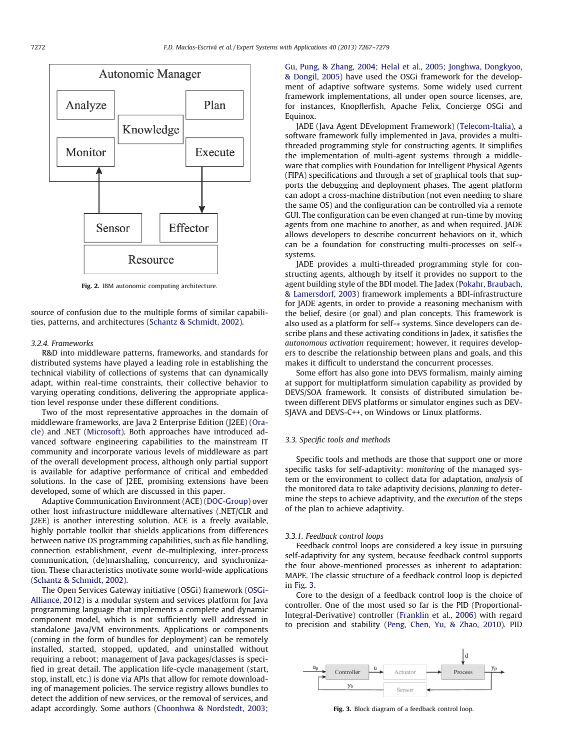<span id="page-5-0"></span>

Fig. 2. IBM autonomic computing architecture.

source of confusion due to the multiple forms of similar capabilities, patterns, and architectures [\(Schantz & Schmidt, 2002](#page-12-0)).

## 3.2.4. Frameworks

R&D into middleware patterns, frameworks, and standards for distributed systems have played a leading role in establishing the technical viability of collections of systems that can dynamically adapt, within real-time constraints, their collective behavior to varying operating conditions, delivering the appropriate application level response under these different conditions.

Two of the most representative approaches in the domain of middleware frameworks, are Java 2 Enterprise Edition (J2EE) [\(Ora](#page-12-0)[cle](#page-12-0)) and .NET [\(Microsoft\)](#page-12-0). Both approaches have introduced advanced software engineering capabilities to the mainstream IT community and incorporate various levels of middleware as part of the overall development process, although only partial support is available for adaptive performance of critical and embedded solutions. In the case of J2EE, promising extensions have been developed, some of which are discussed in this paper.

Adaptive Communication Environment (ACE) ([DOC-Group](#page-11-0)) over other host infrastructure middleware alternatives (.NET/CLR and J2EE) is another interesting solution. ACE is a freely available, highly portable toolkit that shields applications from differences between native OS programming capabilities, such as file handling, connection establishment, event de-multiplexing, inter-process communication, (de)marshaling, concurrency, and synchronization. These characteristics motivate some world-wide applications ([Schantz & Schmidt, 2002\)](#page-12-0).

The Open Services Gateway initiative (OSGi) framework [\(OSGi-](#page-12-0)[Alliance, 2012](#page-12-0)) is a modular system and services platform for Java programming language that implements a complete and dynamic component model, which is not sufficiently well addressed in standalone Java/VM environments. Applications or components (coming in the form of bundles for deployment) can be remotely installed, started, stopped, updated, and uninstalled without requiring a reboot; management of Java packages/classes is specified in great detail. The application life-cycle management (start, stop, install, etc.) is done via APIs that allow for remote downloading of management policies. The service registry allows bundles to detect the addition of new services, or the removal of services, and adapt accordingly. Some authors [\(Choonhwa & Nordstedt, 2003;](#page-11-0) [Gu, Pung, & Zhang, 2004; Helal et al., 2005; Jonghwa, Dongkyoo,](#page-11-0) [& Dongil, 2005\)](#page-11-0) have used the OSGi framework for the development of adaptive software systems. Some widely used current framework implementations, all under open source licenses, are, for instances, Knopflerfish, Apache Felix, Concierge OSGi and Equinox.

JADE (Java Agent DEvelopment Framework) ([Telecom-Italia\)](#page-12-0), a software framework fully implemented in Java, provides a multithreaded programming style for constructing agents. It simplifies the implementation of multi-agent systems through a middleware that complies with Foundation for Intelligent Physical Agents (FIPA) specifications and through a set of graphical tools that supports the debugging and deployment phases. The agent platform can adopt a cross-machine distribution (not even needing to share the same OS) and the configuration can be controlled via a remote GUI. The configuration can be even changed at run-time by moving agents from one machine to another, as and when required. JADE allows developers to describe concurrent behaviors on it, which can be a foundation for constructing multi-processes on self- $*$ systems.

JADE provides a multi-threaded programming style for constructing agents, although by itself it provides no support to the agent building style of the BDI model. The Jadex ([Pokahr, Braubach,](#page-12-0) [& Lamersdorf, 2003](#page-12-0)) framework implements a BDI-infrastructure for JADE agents, in order to provide a reasoning mechanism with the belief, desire (or goal) and plan concepts. This framework is also used as a platform for self- $*$  systems. Since developers can describe plans and these activating conditions in Jadex, it satisfies the autonomous activation requirement; however, it requires developers to describe the relationship between plans and goals, and this makes it difficult to understand the concurrent processes.

Some effort has also gone into DEVS formalism, mainly aiming at support for multiplatform simulation capability as provided by DEVS/SOA framework. It consists of distributed simulation between different DEVS platforms or simulator engines such as DEV-SJAVA and DEVS-C++, on Windows or Linux platforms.

## 3.3. Specific tools and methods

Specific tools and methods are those that support one or more specific tasks for self-adaptivity: monitoring of the managed system or the environment to collect data for adaptation, analysis of the monitored data to take adaptivity decisions, planning to determine the steps to achieve adaptivity, and the execution of the steps of the plan to achieve adaptivity.

## 3.3.1. Feedback control loops

Feedback control loops are considered a key issue in pursuing self-adaptivity for any system, because feedback control supports the four above-mentioned processes as inherent to adaptation: MAPE. The classic structure of a feedback control loop is depicted in Fig. 3.

Core to the design of a feedback control loop is the choice of controller. One of the most used so far is the PID (Proportional-Integral-Derivative) controller ([Franklin et al., 2006](#page-11-0)) with regard to precision and stability ([Peng, Chen, Yu, & Zhao, 2010](#page-12-0)). PID



Fig. 3. Block diagram of a feedback control loop.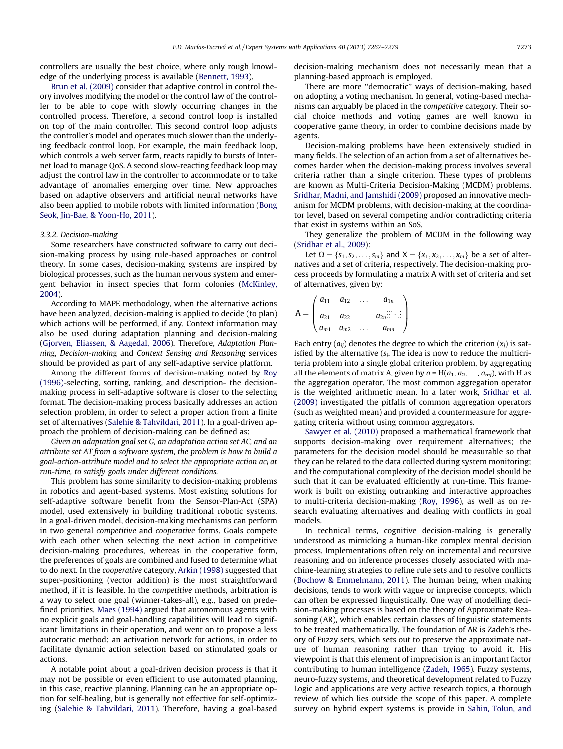controllers are usually the best choice, where only rough knowledge of the underlying process is available ([Bennett, 1993\)](#page-11-0).

[Brun et al. \(2009\)](#page-11-0) consider that adaptive control in control theory involves modifying the model or the control law of the controller to be able to cope with slowly occurring changes in the controlled process. Therefore, a second control loop is installed on top of the main controller. This second control loop adjusts the controller's model and operates much slower than the underlying feedback control loop. For example, the main feedback loop, which controls a web server farm, reacts rapidly to bursts of Internet load to manage QoS. A second slow-reacting feedback loop may adjust the control law in the controller to accommodate or to take advantage of anomalies emerging over time. New approaches based on adaptive observers and artificial neural networks have also been applied to mobile robots with limited information ([Bong](#page-11-0) [Seok, Jin-Bae, & Yoon-Ho, 2011\)](#page-11-0).

## 3.3.2. Decision-making

Some researchers have constructed software to carry out decision-making process by using rule-based approaches or control theory. In some cases, decision-making systems are inspired by biological processes, such as the human nervous system and emergent behavior in insect species that form colonies [\(McKinley,](#page-12-0) [2004](#page-12-0)).

According to MAPE methodology, when the alternative actions have been analyzed, decision-making is applied to decide (to plan) which actions will be performed, if any. Context information may also be used during adaptation planning and decision-making ([Gjorven, Eliassen, & Aagedal, 2006\)](#page-11-0). Therefore, Adaptation Planning, Decision-making and Context Sensing and Reasoning services should be provided as part of any self-adaptive service platform.

Among the different forms of decision-making noted by [Roy](#page-12-0) [\(1996\)-](#page-12-0)selecting, sorting, ranking, and description- the decisionmaking process in self-adaptive software is closer to the selecting format. The decision-making process basically addresses an action selection problem, in order to select a proper action from a finite set of alternatives ([Salehie & Tahvildari, 2011\)](#page-12-0). In a goal-driven approach the problem of decision-making can be defined as:

Given an adaptation goal set G, an adaptation action set AC, and an attribute set AT from a software system, the problem is how to build a goal-action-attribute model and to select the appropriate action  $ac_i$  at run-time, to satisfy goals under different conditions.

This problem has some similarity to decision-making problems in robotics and agent-based systems. Most existing solutions for self-adaptive software benefit from the Sensor-Plan-Act (SPA) model, used extensively in building traditional robotic systems. In a goal-driven model, decision-making mechanisms can perform in two general competitive and cooperative forms. Goals compete with each other when selecting the next action in competitive decision-making procedures, whereas in the cooperative form, the preferences of goals are combined and fused to determine what to do next. In the cooperative category, [Arkin \(1998\)](#page-11-0) suggested that super-positioning (vector addition) is the most straightforward method, if it is feasible. In the competitive methods, arbitration is a way to select one goal (winner-takes-all), e.g., based on predefined priorities. [Maes \(1994\)](#page-12-0) argued that autonomous agents with no explicit goals and goal-handling capabilities will lead to significant limitations in their operation, and went on to propose a less autocratic method: an activation network for actions, in order to facilitate dynamic action selection based on stimulated goals or actions.

A notable point about a goal-driven decision process is that it may not be possible or even efficient to use automated planning, in this case, reactive planning. Planning can be an appropriate option for self-healing, but is generally not effective for self-optimizing [\(Salehie & Tahvildari, 2011](#page-12-0)). Therefore, having a goal-based decision-making mechanism does not necessarily mean that a planning-based approach is employed.

There are more ''democratic'' ways of decision-making, based on adopting a voting mechanism. In general, voting-based mechanisms can arguably be placed in the competitive category. Their social choice methods and voting games are well known in cooperative game theory, in order to combine decisions made by agents.

Decision-making problems have been extensively studied in many fields. The selection of an action from a set of alternatives becomes harder when the decision-making process involves several criteria rather than a single criterion. These types of problems are known as Multi-Criteria Decision-Making (MCDM) problems. [Sridhar, Madni, and Jamshidi \(2009\)](#page-12-0) proposed an innovative mechanism for MCDM problems, with decision-making at the coordinator level, based on several competing and/or contradicting criteria that exist in systems within an SoS.

They generalize the problem of MCDM in the following way ([Sridhar et al., 2009\)](#page-12-0):

Let  $\Omega = \{s_1, s_2, \dots, s_m\}$  and  $X = \{x_1, x_2, \dots, x_m\}$  be a set of alternatives and a set of criteria, respectively. The decision-making process proceeds by formulating a matrix A with set of criteria and set of alternatives, given by:

$$
A = \begin{pmatrix} a_{11} & a_{12} & \dots & a_{1n} \\ a_{21} & a_{22} & & a_{2n} \dots & a_{mn} \\ a_{m1} & a_{m2} & \dots & a_{mn} \end{pmatrix}
$$

Each entry  $(a_{ii})$  denotes the degree to which the criterion  $(x_i)$  is satisfied by the alternative  $(s_i)$ . The idea is now to reduce the multicriteria problem into a single global criterion problem, by aggregating all the elements of matrix A, given by  $a = H(a_1, a_2, \ldots, a_{mi})$ , with H as the aggregation operator. The most common aggregation operator is the weighted arithmetic mean. In a later work, [Sridhar et al.](#page-12-0) [\(2009\)](#page-12-0) investigated the pitfalls of common aggregation operators (such as weighted mean) and provided a countermeasure for aggregating criteria without using common aggregators.

[Sawyer et al. \(2010\)](#page-12-0) proposed a mathematical framework that supports decision-making over requirement alternatives; the parameters for the decision model should be measurable so that they can be related to the data collected during system monitoring; and the computational complexity of the decision model should be such that it can be evaluated efficiently at run-time. This framework is built on existing outranking and interactive approaches to multi-criteria decision-making [\(Roy, 1996](#page-12-0)), as well as on research evaluating alternatives and dealing with conflicts in goal models.

In technical terms, cognitive decision-making is generally understood as mimicking a human-like complex mental decision process. Implementations often rely on incremental and recursive reasoning and on inference processes closely associated with machine-learning strategies to refine rule sets and to resolve conflicts ([Bochow & Emmelmann, 2011\)](#page-11-0). The human being, when making decisions, tends to work with vague or imprecise concepts, which can often be expressed linguistically. One way of modelling decision-making processes is based on the theory of Approximate Reasoning (AR), which enables certain classes of linguistic statements to be treated mathematically. The foundation of AR is Zadeh's theory of Fuzzy sets, which sets out to preserve the approximate nature of human reasoning rather than trying to avoid it. His viewpoint is that this element of imprecision is an important factor contributing to human intelligence [\(Zadeh, 1965\)](#page-12-0). Fuzzy systems, neuro-fuzzy systems, and theoretical development related to Fuzzy Logic and applications are very active research topics, a thorough review of which lies outside the scope of this paper. A complete survey on hybrid expert systems is provide in [Sahin, Tolun, and](#page-12-0)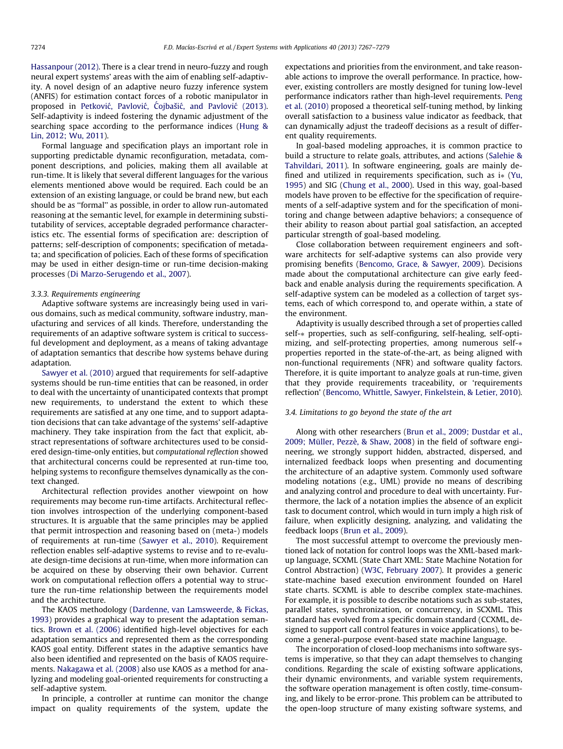[Hassanpour \(2012\)](#page-12-0). There is a clear trend in neuro-fuzzy and rough neural expert systems' areas with the aim of enabling self-adaptivity. A novel design of an adaptive neuro fuzzy inference system (ANFIS) for estimation contact forces of a robotic manipulator in proposed in Petković, Pavlović, Ćojbašić, and Pavlović (2013). Self-adaptivity is indeed fostering the dynamic adjustment of the searching space according to the performance indices [\(Hung &](#page-11-0) [Lin, 2012; Wu, 2011](#page-11-0)).

Formal language and specification plays an important role in supporting predictable dynamic reconfiguration, metadata, component descriptions, and policies, making them all available at run-time. It is likely that several different languages for the various elements mentioned above would be required. Each could be an extension of an existing language, or could be brand new, but each should be as ''formal'' as possible, in order to allow run-automated reasoning at the semantic level, for example in determining substitutability of services, acceptable degraded performance characteristics etc. The essential forms of specification are: description of patterns; self-description of components; specification of metadata; and specification of policies. Each of these forms of specification may be used in either design-time or run-time decision-making processes ([Di Marzo-Serugendo et al., 2007](#page-11-0)).

## 3.3.3. Requirements engineering

Adaptive software systems are increasingly being used in various domains, such as medical community, software industry, manufacturing and services of all kinds. Therefore, understanding the requirements of an adaptive software system is critical to successful development and deployment, as a means of taking advantage of adaptation semantics that describe how systems behave during adaptation.

[Sawyer et al. \(2010\)](#page-12-0) argued that requirements for self-adaptive systems should be run-time entities that can be reasoned, in order to deal with the uncertainty of unanticipated contexts that prompt new requirements, to understand the extent to which these requirements are satisfied at any one time, and to support adaptation decisions that can take advantage of the systems' self-adaptive machinery. They take inspiration from the fact that explicit, abstract representations of software architectures used to be considered design-time-only entities, but computational reflection showed that architectural concerns could be represented at run-time too, helping systems to reconfigure themselves dynamically as the context changed.

Architectural reflection provides another viewpoint on how requirements may become run-time artifacts. Architectural reflection involves introspection of the underlying component-based structures. It is arguable that the same principles may be applied that permit introspection and reasoning based on (meta-) models of requirements at run-time [\(Sawyer et al., 2010](#page-12-0)). Requirement reflection enables self-adaptive systems to revise and to re-evaluate design-time decisions at run-time, when more information can be acquired on these by observing their own behavior. Current work on computational reflection offers a potential way to structure the run-time relationship between the requirements model and the architecture.

The KAOS methodology [\(Dardenne, van Lamsweerde, & Fickas,](#page-11-0) [1993\)](#page-11-0) provides a graphical way to present the adaptation semantics. [Brown et al. \(2006\)](#page-11-0) identified high-level objectives for each adaptation semantics and represented them as the corresponding KAOS goal entity. Different states in the adaptive semantics have also been identified and represented on the basis of KAOS requirements. [Nakagawa et al. \(2008\)](#page-12-0) also use KAOS as a method for analyzing and modeling goal-oriented requirements for constructing a self-adaptive system.

In principle, a controller at runtime can monitor the change impact on quality requirements of the system, update the expectations and priorities from the environment, and take reasonable actions to improve the overall performance. In practice, however, existing controllers are mostly designed for tuning low-level performance indicators rather than high-level requirements. [Peng](#page-12-0) [et al. \(2010\)](#page-12-0) proposed a theoretical self-tuning method, by linking overall satisfaction to a business value indicator as feedback, that can dynamically adjust the tradeoff decisions as a result of different quality requirements.

In goal-based modeling approaches, it is common practice to build a structure to relate goals, attributes, and actions [\(Salehie &](#page-12-0) [Tahvildari, 2011](#page-12-0)). In software engineering, goals are mainly defined and utilized in requirements specification, such as  $i*$  ([Yu,](#page-12-0) [1995\)](#page-12-0) and SIG ([Chung et al., 2000](#page-11-0)). Used in this way, goal-based models have proven to be effective for the specification of requirements of a self-adaptive system and for the specification of monitoring and change between adaptive behaviors; a consequence of their ability to reason about partial goal satisfaction, an accepted particular strength of goal-based modeling.

Close collaboration between requirement engineers and software architects for self-adaptive systems can also provide very promising benefits [\(Bencomo, Grace, & Sawyer, 2009](#page-11-0)). Decisions made about the computational architecture can give early feedback and enable analysis during the requirements specification. A self-adaptive system can be modeled as a collection of target systems, each of which correspond to, and operate within, a state of the environment.

Adaptivity is usually described through a set of properties called self-⁄ properties, such as self-configuring, self-healing, self-optimizing, and self-protecting properties, among numerous self-\* properties reported in the state-of-the-art, as being aligned with non-functional requirements (NFR) and software quality factors. Therefore, it is quite important to analyze goals at run-time, given that they provide requirements traceability, or 'requirements reflection' ([Bencomo, Whittle, Sawyer, Finkelstein, & Letier, 2010\)](#page-11-0).

## 3.4. Limitations to go beyond the state of the art

Along with other researchers [\(Brun et al., 2009; Dustdar et al.,](#page-11-0) [2009; Müller, Pezzè, & Shaw, 2008\)](#page-11-0) in the field of software engineering, we strongly support hidden, abstracted, dispersed, and internalized feedback loops when presenting and documenting the architecture of an adaptive system. Commonly used software modeling notations (e.g., UML) provide no means of describing and analyzing control and procedure to deal with uncertainty. Furthermore, the lack of a notation implies the absence of an explicit task to document control, which would in turn imply a high risk of failure, when explicitly designing, analyzing, and validating the feedback loops ([Brun et al., 2009\)](#page-11-0).

The most successful attempt to overcome the previously mentioned lack of notation for control loops was the XML-based markup language, SCXML (State Chart XML: State Machine Notation for Control Abstraction) ([W3C, February 2007\)](#page-12-0). It provides a generic state-machine based execution environment founded on Harel state charts. SCXML is able to describe complex state-machines. For example, it is possible to describe notations such as sub-states, parallel states, synchronization, or concurrency, in SCXML. This standard has evolved from a specific domain standard (CCXML, designed to support call control features in voice applications), to become a general-purpose event-based state machine language.

The incorporation of closed-loop mechanisms into software systems is imperative, so that they can adapt themselves to changing conditions. Regarding the scale of existing software applications, their dynamic environments, and variable system requirements, the software operation management is often costly, time-consuming, and likely to be error-prone. This problem can be attributed to the open-loop structure of many existing software systems, and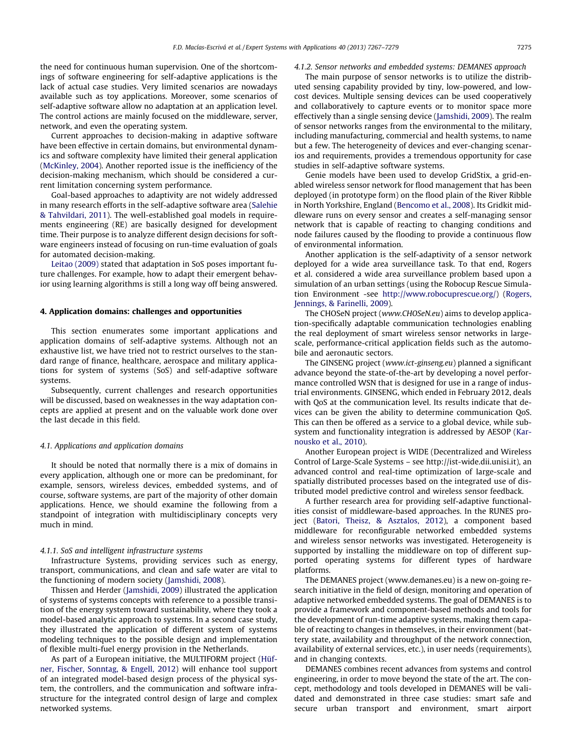the need for continuous human supervision. One of the shortcomings of software engineering for self-adaptive applications is the lack of actual case studies. Very limited scenarios are nowadays available such as toy applications. Moreover, some scenarios of self-adaptive software allow no adaptation at an application level. The control actions are mainly focused on the middleware, server, network, and even the operating system.

Current approaches to decision-making in adaptive software have been effective in certain domains, but environmental dynamics and software complexity have limited their general application ([McKinley, 2004](#page-12-0)). Another reported issue is the inefficiency of the decision-making mechanism, which should be considered a current limitation concerning system performance.

Goal-based approaches to adaptivity are not widely addressed in many research efforts in the self-adaptive software area ([Salehie](#page-12-0) [& Tahvildari, 2011](#page-12-0)). The well-established goal models in requirements engineering (RE) are basically designed for development time. Their purpose is to analyze different design decisions for software engineers instead of focusing on run-time evaluation of goals for automated decision-making.

[Leitao \(2009\)](#page-12-0) stated that adaptation in SoS poses important future challenges. For example, how to adapt their emergent behavior using learning algorithms is still a long way off being answered.

## 4. Application domains: challenges and opportunities

This section enumerates some important applications and application domains of self-adaptive systems. Although not an exhaustive list, we have tried not to restrict ourselves to the standard range of finance, healthcare, aerospace and military applications for system of systems (SoS) and self-adaptive software systems.

Subsequently, current challenges and research opportunities will be discussed, based on weaknesses in the way adaptation concepts are applied at present and on the valuable work done over the last decade in this field.

## 4.1. Applications and application domains

It should be noted that normally there is a mix of domains in every application, although one or more can be predominant, for example, sensors, wireless devices, embedded systems, and of course, software systems, are part of the majority of other domain applications. Hence, we should examine the following from a standpoint of integration with multidisciplinary concepts very much in mind.

## 4.1.1. SoS and intelligent infrastructure systems

Infrastructure Systems, providing services such as energy, transport, communications, and clean and safe water are vital to the functioning of modern society ([Jamshidi, 2008\)](#page-11-0).

Thissen and Herder ([Jamshidi, 2009\)](#page-12-0) illustrated the application of systems of systems concepts with reference to a possible transition of the energy system toward sustainability, where they took a model-based analytic approach to systems. In a second case study, they illustrated the application of different system of systems modeling techniques to the possible design and implementation of flexible multi-fuel energy provision in the Netherlands.

As part of a European initiative, the MULTIFORM project [\(Hüf](#page-11-0)[ner, Fischer, Sonntag, & Engell, 2012\)](#page-11-0) will enhance tool support of an integrated model-based design process of the physical system, the controllers, and the communication and software infrastructure for the integrated control design of large and complex networked systems.

#### 4.1.2. Sensor networks and embedded systems: DEMANES approach

The main purpose of sensor networks is to utilize the distributed sensing capability provided by tiny, low-powered, and lowcost devices. Multiple sensing devices can be used cooperatively and collaboratively to capture events or to monitor space more effectively than a single sensing device [\(Jamshidi, 2009\)](#page-12-0). The realm of sensor networks ranges from the environmental to the military, including manufacturing, commercial and health systems, to name but a few. The heterogeneity of devices and ever-changing scenarios and requirements, provides a tremendous opportunity for case studies in self-adaptive software systems.

Genie models have been used to develop GridStix, a grid-enabled wireless sensor network for flood management that has been deployed (in prototype form) on the flood plain of the River Ribble in North Yorkshire, England [\(Bencomo et al., 2008\)](#page-11-0). Its Gridkit middleware runs on every sensor and creates a self-managing sensor network that is capable of reacting to changing conditions and node failures caused by the flooding to provide a continuous flow of environmental information.

Another application is the self-adaptivity of a sensor network deployed for a wide area surveillance task. To that end, Rogers et al. considered a wide area surveillance problem based upon a simulation of an urban settings (using the Robocup Rescue Simulation Environment -see [http://www.robocuprescue.org/\)](http://www.robocuprescue.org/) [\(Rogers,](#page-12-0) [Jennings, & Farinelli, 2009\)](#page-12-0).

The CHOSeN project (www.CHOSeN.eu) aims to develop application-specifically adaptable communication technologies enabling the real deployment of smart wireless sensor networks in largescale, performance-critical application fields such as the automobile and aeronautic sectors.

The GINSENG project (www.ict-ginseng.eu) planned a significant advance beyond the state-of-the-art by developing a novel performance controlled WSN that is designed for use in a range of industrial environments. GINSENG, which ended in February 2012, deals with QoS at the communication level. Its results indicate that devices can be given the ability to determine communication QoS. This can then be offered as a service to a global device, while subsystem and functionality integration is addressed by AESOP [\(Kar](#page-12-0)[nousko et al., 2010](#page-12-0)).

Another European project is WIDE (Decentralized and Wireless Control of Large-Scale Systems – see http://ist-wide.dii.unisi.it), an advanced control and real-time optimization of large-scale and spatially distributed processes based on the integrated use of distributed model predictive control and wireless sensor feedback.

A further research area for providing self-adaptive functionalities consist of middleware-based approaches. In the RUNES project ([Batori, Theisz, & Asztalos, 2012](#page-11-0)), a component based middleware for reconfigurable networked embedded systems and wireless sensor networks was investigated. Heterogeneity is supported by installing the middleware on top of different supported operating systems for different types of hardware platforms.

The DEMANES project (www.demanes.eu) is a new on-going research initiative in the field of design, monitoring and operation of adaptive networked embedded systems. The goal of DEMANES is to provide a framework and component-based methods and tools for the development of run-time adaptive systems, making them capable of reacting to changes in themselves, in their environment (battery state, availability and throughput of the network connection, availability of external services, etc.), in user needs (requirements), and in changing contexts.

DEMANES combines recent advances from systems and control engineering, in order to move beyond the state of the art. The concept, methodology and tools developed in DEMANES will be validated and demonstrated in three case studies: smart safe and secure urban transport and environment, smart airport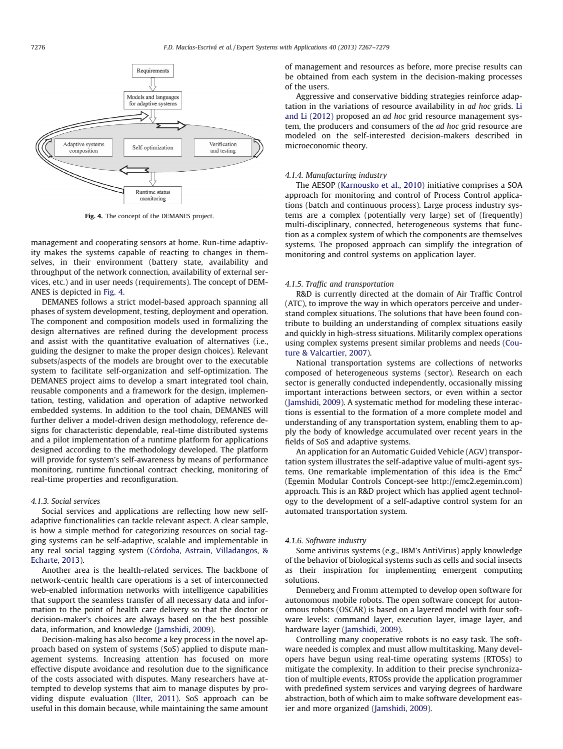

Fig. 4. The concept of the DEMANES project.

management and cooperating sensors at home. Run-time adaptivity makes the systems capable of reacting to changes in themselves, in their environment (battery state, availability and throughput of the network connection, availability of external services, etc.) and in user needs (requirements). The concept of DEM-ANES is depicted in Fig. 4.

DEMANES follows a strict model-based approach spanning all phases of system development, testing, deployment and operation. The component and composition models used in formalizing the design alternatives are refined during the development process and assist with the quantitative evaluation of alternatives (i.e., guiding the designer to make the proper design choices). Relevant subsets/aspects of the models are brought over to the executable system to facilitate self-organization and self-optimization. The DEMANES project aims to develop a smart integrated tool chain, reusable components and a framework for the design, implementation, testing, validation and operation of adaptive networked embedded systems. In addition to the tool chain, DEMANES will further deliver a model-driven design methodology, reference designs for characteristic dependable, real-time distributed systems and a pilot implementation of a runtime platform for applications designed according to the methodology developed. The platform will provide for system's self-awareness by means of performance monitoring, runtime functional contract checking, monitoring of real-time properties and reconfiguration.

## 4.1.3. Social services

Social services and applications are reflecting how new selfadaptive functionalities can tackle relevant aspect. A clear sample, is how a simple method for categorizing resources on social tagging systems can be self-adaptive, scalable and implementable in any real social tagging system ([Córdoba, Astrain, Villadangos, &](#page-11-0) [Echarte, 2013\)](#page-11-0).

Another area is the health-related services. The backbone of network-centric health care operations is a set of interconnected web-enabled information networks with intelligence capabilities that support the seamless transfer of all necessary data and information to the point of health care delivery so that the doctor or decision-maker's choices are always based on the best possible data, information, and knowledge ([Jamshidi, 2009\)](#page-12-0).

Decision-making has also become a key process in the novel approach based on system of systems (SoS) applied to dispute management systems. Increasing attention has focused on more effective dispute avoidance and resolution due to the significance of the costs associated with disputes. Many researchers have attempted to develop systems that aim to manage disputes by providing dispute evaluation ([Ilter, 2011](#page-11-0)). SoS approach can be useful in this domain because, while maintaining the same amount of management and resources as before, more precise results can be obtained from each system in the decision-making processes of the users.

Aggressive and conservative bidding strategies reinforce adaptation in the variations of resource availability in ad hoc grids. [Li](#page-12-0) [and Li \(2012\)](#page-12-0) proposed an ad hoc grid resource management system, the producers and consumers of the ad hoc grid resource are modeled on the self-interested decision-makers described in microeconomic theory.

## 4.1.4. Manufacturing industry

The AESOP ([Karnousko et al., 2010](#page-12-0)) initiative comprises a SOA approach for monitoring and control of Process Control applications (batch and continuous process). Large process industry systems are a complex (potentially very large) set of (frequently) multi-disciplinary, connected, heterogeneous systems that function as a complex system of which the components are themselves systems. The proposed approach can simplify the integration of monitoring and control systems on application layer.

## 4.1.5. Traffic and transportation

R&D is currently directed at the domain of Air Traffic Control (ATC), to improve the way in which operators perceive and understand complex situations. The solutions that have been found contribute to building an understanding of complex situations easily and quickly in high-stress situations. Militarily complex operations using complex systems present similar problems and needs ([Cou](#page-11-0)[ture & Valcartier, 2007](#page-11-0)).

National transportation systems are collections of networks composed of heterogeneous systems (sector). Research on each sector is generally conducted independently, occasionally missing important interactions between sectors, or even within a sector ([Jamshidi, 2009\)](#page-12-0). A systematic method for modeling these interactions is essential to the formation of a more complete model and understanding of any transportation system, enabling them to apply the body of knowledge accumulated over recent years in the fields of SoS and adaptive systems.

An application for an Automatic Guided Vehicle (AGV) transportation system illustrates the self-adaptive value of multi-agent systems. One remarkable implementation of this idea is the  $Emc<sup>2</sup>$ (Egemin Modular Controls Concept-see http://emc2.egemin.com) approach. This is an R&D project which has applied agent technology to the development of a self-adaptive control system for an automated transportation system.

## 4.1.6. Software industry

Some antivirus systems (e.g., IBM's AntiVirus) apply knowledge of the behavior of biological systems such as cells and social insects as their inspiration for implementing emergent computing solutions.

Denneberg and Fromm attempted to develop open software for autonomous mobile robots. The open software concept for autonomous robots (OSCAR) is based on a layered model with four software levels: command layer, execution layer, image layer, and hardware layer [\(Jamshidi, 2009](#page-12-0)).

Controlling many cooperative robots is no easy task. The software needed is complex and must allow multitasking. Many developers have begun using real-time operating systems (RTOSs) to mitigate the complexity. In addition to their precise synchronization of multiple events, RTOSs provide the application programmer with predefined system services and varying degrees of hardware abstraction, both of which aim to make software development easier and more organized [\(Jamshidi, 2009\)](#page-12-0).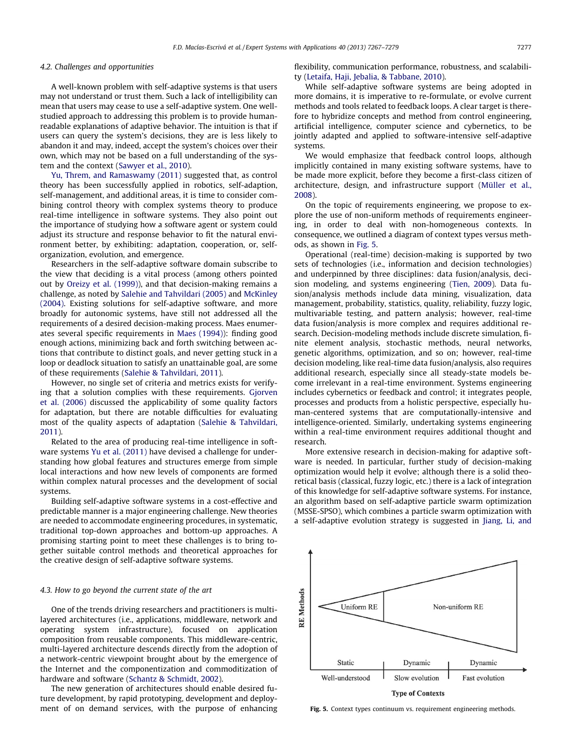#### 4.2. Challenges and opportunities

A well-known problem with self-adaptive systems is that users may not understand or trust them. Such a lack of intelligibility can mean that users may cease to use a self-adaptive system. One wellstudied approach to addressing this problem is to provide humanreadable explanations of adaptive behavior. The intuition is that if users can query the system's decisions, they are is less likely to abandon it and may, indeed, accept the system's choices over their own, which may not be based on a full understanding of the system and the context ([Sawyer et al., 2010](#page-12-0)).

[Yu, Threm, and Ramaswamy \(2011\)](#page-12-0) suggested that, as control theory has been successfully applied in robotics, self-adaption, self-management, and additional areas, it is time to consider combining control theory with complex systems theory to produce real-time intelligence in software systems. They also point out the importance of studying how a software agent or system could adjust its structure and response behavior to fit the natural environment better, by exhibiting: adaptation, cooperation, or, selforganization, evolution, and emergence.

Researchers in the self-adaptive software domain subscribe to the view that deciding is a vital process (among others pointed out by [Oreizy et al. \(1999\)\)](#page-12-0), and that decision-making remains a challenge, as noted by [Salehie and Tahvildari \(2005\)](#page-12-0) and [McKinley](#page-12-0) [\(2004\)](#page-12-0). Existing solutions for self-adaptive software, and more broadly for autonomic systems, have still not addressed all the requirements of a desired decision-making process. Maes enumerates several specific requirements in [Maes \(1994\)\)](#page-12-0): finding good enough actions, minimizing back and forth switching between actions that contribute to distinct goals, and never getting stuck in a loop or deadlock situation to satisfy an unattainable goal, are some of these requirements ([Salehie & Tahvildari, 2011](#page-12-0)).

However, no single set of criteria and metrics exists for verifying that a solution complies with these requirements. [Gjorven](#page-11-0) [et al. \(2006\)](#page-11-0) discussed the applicability of some quality factors for adaptation, but there are notable difficulties for evaluating most of the quality aspects of adaptation [\(Salehie & Tahvildari,](#page-12-0) [2011\)](#page-12-0).

Related to the area of producing real-time intelligence in software systems [Yu et al. \(2011\)](#page-12-0) have devised a challenge for understanding how global features and structures emerge from simple local interactions and how new levels of components are formed within complex natural processes and the development of social systems.

Building self-adaptive software systems in a cost-effective and predictable manner is a major engineering challenge. New theories are needed to accommodate engineering procedures, in systematic, traditional top-down approaches and bottom-up approaches. A promising starting point to meet these challenges is to bring together suitable control methods and theoretical approaches for the creative design of self-adaptive software systems.

## 4.3. How to go beyond the current state of the art

One of the trends driving researchers and practitioners is multilayered architectures (i.e., applications, middleware, network and operating system infrastructure), focused on application composition from reusable components. This middleware-centric, multi-layered architecture descends directly from the adoption of a network-centric viewpoint brought about by the emergence of the Internet and the componentization and commoditization of hardware and software ([Schantz & Schmidt, 2002](#page-12-0)).

The new generation of architectures should enable desired future development, by rapid prototyping, development and deployment of on demand services, with the purpose of enhancing flexibility, communication performance, robustness, and scalabili-ty ([Letaifa, Haji, Jebalia, & Tabbane, 2010](#page-12-0)).

While self-adaptive software systems are being adopted in more domains, it is imperative to re-formulate, or evolve current methods and tools related to feedback loops. A clear target is therefore to hybridize concepts and method from control engineering, artificial intelligence, computer science and cybernetics, to be jointly adapted and applied to software-intensive self-adaptive systems.

We would emphasize that feedback control loops, although implicitly contained in many existing software systems, have to be made more explicit, before they become a first-class citizen of architecture, design, and infrastructure support [\(Müller et al.,](#page-12-0) [2008](#page-12-0)).

On the topic of requirements engineering, we propose to explore the use of non-uniform methods of requirements engineering, in order to deal with non-homogeneous contexts. In consequence, we outlined a diagram of context types versus methods, as shown in Fig. 5.

Operational (real-time) decision-making is supported by two sets of technologies (i.e., information and decision technologies) and underpinned by three disciplines: data fusion/analysis, decision modeling, and systems engineering ([Tien, 2009](#page-12-0)). Data fusion/analysis methods include data mining, visualization, data management, probability, statistics, quality, reliability, fuzzy logic, multivariable testing, and pattern analysis; however, real-time data fusion/analysis is more complex and requires additional research. Decision-modeling methods include discrete simulation, finite element analysis, stochastic methods, neural networks, genetic algorithms, optimization, and so on; however, real-time decision modeling, like real-time data fusion/analysis, also requires additional research, especially since all steady-state models become irrelevant in a real-time environment. Systems engineering includes cybernetics or feedback and control; it integrates people, processes and products from a holistic perspective, especially human-centered systems that are computationally-intensive and intelligence-oriented. Similarly, undertaking systems engineering within a real-time environment requires additional thought and research.

More extensive research in decision-making for adaptive software is needed. In particular, further study of decision-making optimization would help it evolve; although there is a solid theoretical basis (classical, fuzzy logic, etc.) there is a lack of integration of this knowledge for self-adaptive software systems. For instance, an algorithm based on self-adaptive particle swarm optimization (MSSE-SPSO), which combines a particle swarm optimization with a self-adaptive evolution strategy is suggested in [Jiang, Li, and](#page-12-0)



**Type of Contexts** 

Fig. 5. Context types continuum vs. requirement engineering methods.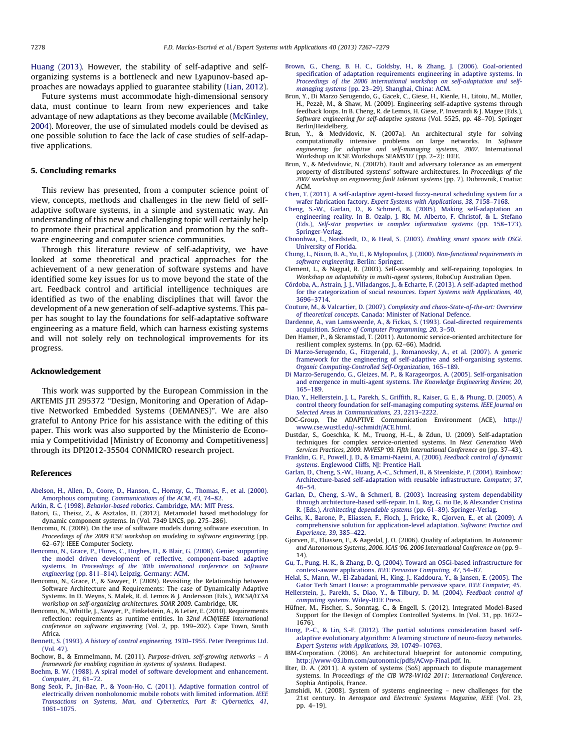<span id="page-11-0"></span>[Huang \(2013\).](#page-12-0) However, the stability of self-adaptive and selforganizing systems is a bottleneck and new Lyapunov-based approaches are nowadays applied to guarantee stability ([Lian, 2012\)](#page-12-0).

Future systems must accommodate high-dimensional sensory data, must continue to learn from new experiences and take advantage of new adaptations as they become available [\(McKinley,](#page-12-0) [2004\)](#page-12-0). Moreover, the use of simulated models could be devised as one possible solution to face the lack of case studies of self-adaptive applications.

## 5. Concluding remarks

This review has presented, from a computer science point of view, concepts, methods and challenges in the new field of selfadaptive software systems, in a simple and systematic way. An understanding of this new and challenging topic will certainly help to promote their practical application and promotion by the software engineering and computer science communities.

Through this literature review of self-adaptivity, we have looked at some theoretical and practical approaches for the achievement of a new generation of software systems and have identified some key issues for us to move beyond the state of the art. Feedback control and artificial intelligence techniques are identified as two of the enabling disciplines that will favor the development of a new generation of self-adaptive systems. This paper has sought to lay the foundations for self-adaptative software engineering as a mature field, which can harness existing systems and will not solely rely on technological improvements for its progress.

## Acknowledgement

This work was supported by the European Commission in the ARTEMIS JTI 295372 ''Design, Monitoring and Operation of Adaptive Networked Embedded Systems (DEMANES)''. We are also grateful to Antony Price for his assistance with the editing of this paper. This work was also supported by the Ministerio de Economia y Competitividad [Ministry of Economy and Competitiveness] through its DPI2012-35504 CONMICRO research project.

#### References

[Abelson, H., Allen, D., Coore, D., Hanson, C., Homsy, G., Thomas, F., et al. \(2000\).](http://refhub.elsevier.com/S0957-4174(13)00512-5/h0005) Amorphous computing. [Communications of the ACM, 43](http://refhub.elsevier.com/S0957-4174(13)00512-5/h0005), 74–82.

Arkin, R. C. (1998). Behavior-based robotics[. Cambridge, MA: MIT Press.](http://refhub.elsevier.com/S0957-4174(13)00512-5/h0010)

- Batori, G., Theisz, Z., & Asztalos, D. (2012). Metamodel based methodology for dynamic component systems. In (Vol. 7349 LNCS, pp. 275–286).
- Bencomo, N. (2009). On the use of software models during software execution. In Proceedings of the 2009 ICSE workshop on modeling in software engineering (pp. 62–67): IEEE Computer Society.
- [Bencomo, N., Grace, P., Flores, C., Hughes, D., & Blair, G. \(2008\). Genie: supporting](http://refhub.elsevier.com/S0957-4174(13)00512-5/h0015) [the model driven development of reflective, component-based adaptive](http://refhub.elsevier.com/S0957-4174(13)00512-5/h0015) systems. In [Proceedings of the 30th international conference on Software](http://refhub.elsevier.com/S0957-4174(13)00512-5/h0015) engineering [\(pp. 811–814\). Leipzig, Germany: ACM.](http://refhub.elsevier.com/S0957-4174(13)00512-5/h0015)
- Bencomo, N., Grace, P., & Sawyer, P. (2009). Revisiting the Relationship between Software Architecture and Requirements: The case of Dynamically Adaptive Systems. In D. Weyns, S. Malek, R. d. Lemos & J. Andersson (Eds.), WICSA/ECSA workshop on self-organizing architectures. SOAR 2009. Cambridge, UK.
- Bencomo, N., Whittle, J., Sawyer, P., Finkelstein, A., & Letier, E. (2010). Requirements reflection: requirements as runtime entities. In 32nd ACM/IEEE international conference on software engineering (Vol. 2, pp. 199–202). Cape Town, South Africa.
- Bennett, S. (1993). [A history of control engineering, 1930–1955](http://refhub.elsevier.com/S0957-4174(13)00512-5/h0020). Peter Peregrinus Ltd. [\(Vol. 47\).](http://refhub.elsevier.com/S0957-4174(13)00512-5/h0020)
- Bochow, B., & Emmelmann, M. (2011). Purpose-driven, self-growing networks A framework for enabling cognition in systems of systems. Budapest.
- [Boehm, B. W. \(1988\). A spiral model of software development and enhancement.](http://refhub.elsevier.com/S0957-4174(13)00512-5/h0025) [Computer, 21](http://refhub.elsevier.com/S0957-4174(13)00512-5/h0025), 61–72.
- [Bong Seok, P., Jin-Bae, P., & Yoon-Ho, C. \(2011\). Adaptive formation control of](http://refhub.elsevier.com/S0957-4174(13)00512-5/h0030) [electrically driven nonholonomic mobile robots with limited information.](http://refhub.elsevier.com/S0957-4174(13)00512-5/h0030) IEEE [Transactions on Systems, Man, and Cybernetics, Part B: Cybernetics, 41](http://refhub.elsevier.com/S0957-4174(13)00512-5/h0030), [1061–1075.](http://refhub.elsevier.com/S0957-4174(13)00512-5/h0030)
- [Brown, G., Cheng, B. H. C., Goldsby, H., & Zhang, J. \(2006\). Goal-oriented](http://refhub.elsevier.com/S0957-4174(13)00512-5/h0035) [specification of adaptation requirements engineering in adaptive systems. In](http://refhub.elsevier.com/S0957-4174(13)00512-5/h0035) [Proceedings of the 2006 international workshop on self-adaptation and self](http://refhub.elsevier.com/S0957-4174(13)00512-5/h0035)managing systems [\(pp. 23–29\). Shanghai, China: ACM](http://refhub.elsevier.com/S0957-4174(13)00512-5/h0035).
- Brun, Y., Di Marzo Serugendo, G., Gacek, C., Giese, H., Kienle, H., Litoiu, M., Müller, H., Pezzè, M., & Shaw, M. (2009). Engineering self-adaptive systems through feedback loops. In B. Cheng, R. de Lemos, H. Giese, P. Inverardi & J. Magee (Eds.), Software engineering for self-adaptive systems (Vol. 5525, pp. 48–70). Springer Berlin/Heidelberg.
- Brun, Y., & Medvidovic, N. (2007a). An architectural style for solving computationally intensive problems on large networks. In Software engineering for adaptive and self-managing systems, 2007. International Workshop on ICSE Workshops SEAMS'07 (pp. 2–2): IEEE.
- Brun, Y., & Medvidovic, N. (2007b). Fault and adversary tolerance as an emergent property of distributed systems' software architectures. In Proceedings of the 2007 workshop on engineering fault tolerant systems (pp. 7). Dubrovnik, Croatia: ACM.
- [Chen, T. \(2011\). A self-adaptive agent-based fuzzy-neural scheduling system for a](http://refhub.elsevier.com/S0957-4174(13)00512-5/h0040) wafer fabrication factory. [Expert Systems with Applications, 38](http://refhub.elsevier.com/S0957-4174(13)00512-5/h0040), 7158–7168.
- [Cheng, S.-W., Garlan, D., & Schmerl, B. \(2005\). Making self-adaptation an](http://refhub.elsevier.com/S0957-4174(13)00512-5/h0310) [engineering reality. In B. Ozalp, J. Rk, M. Alberto, F. Christof, & L. Stefano](http://refhub.elsevier.com/S0957-4174(13)00512-5/h0310) (Eds.), [Self-star properties in complex information systems](http://refhub.elsevier.com/S0957-4174(13)00512-5/h0310) (pp. 158–173). [Springer-Verlag](http://refhub.elsevier.com/S0957-4174(13)00512-5/h0310).
- [Choonhwa, L., Nordstedt, D., & Heal, S. \(2003\).](http://refhub.elsevier.com/S0957-4174(13)00512-5/h0045) Enabling smart spaces with OSGi. [University of Florida.](http://refhub.elsevier.com/S0957-4174(13)00512-5/h0045)
- [Chung, L., Nixon, B. A., Yu, E., & Mylopoulos, J. \(2000\).](http://refhub.elsevier.com/S0957-4174(13)00512-5/h0315) Non-functional requirements in [software engineering](http://refhub.elsevier.com/S0957-4174(13)00512-5/h0315). Berlin: Springer.
- Clement, L., & Nagpal, R. (2003). Self-assembly and self-repairing topologies. In Workshop on adaptability in multi-agent systems, RoboCup Australian Open.
- [Córdoba, A., Astrain, J. J., Villadangos, J., & Echarte, F. \(2013\). A self-adapted method](http://refhub.elsevier.com/S0957-4174(13)00512-5/h0055) [for the categorization of social resources.](http://refhub.elsevier.com/S0957-4174(13)00512-5/h0055) Expert Systems with Applications, 40, [3696–3714](http://refhub.elsevier.com/S0957-4174(13)00512-5/h0055).
- Couture, M., & Valcartier, D. (2007). [Complexity and chaos-State-of-the-art: Overview](http://refhub.elsevier.com/S0957-4174(13)00512-5/h0060) of theoretical concepts[. Canada: Minister of National Defence.](http://refhub.elsevier.com/S0957-4174(13)00512-5/h0060)
- [Dardenne, A., van Lamsweerde, A., & Fickas, S. \(1993\). Goal-directed requirements](http://refhub.elsevier.com/S0957-4174(13)00512-5/h0065) acquisition. [Science of Computer Programming, 20](http://refhub.elsevier.com/S0957-4174(13)00512-5/h0065), 3–50.
- Den Hamer, P., & Skramstad, T. (2011). Autonomic service-oriented architecture for resilient complex systems. In (pp. 62–66). Madrid.
- [Di Marzo-Serugendo, G., Fitzgerald, J., Romanovsky, A., et al. \(2007\). A generic](http://refhub.elsevier.com/S0957-4174(13)00512-5/h0070) [framework for the engineering of self-adaptive and self-organising systems.](http://refhub.elsevier.com/S0957-4174(13)00512-5/h0070) [Organic Computing-Controlled Self-Organization](http://refhub.elsevier.com/S0957-4174(13)00512-5/h0070), 165–189.
- [Di Marzo-Serugendo, G., Gleizes, M. P., & Karageorgos, A. \(2005\). Self-organisation](http://refhub.elsevier.com/S0957-4174(13)00512-5/h0075) [and emergence in multi-agent systems.](http://refhub.elsevier.com/S0957-4174(13)00512-5/h0075) The Knowledge Engineering Review, 20, [165–189](http://refhub.elsevier.com/S0957-4174(13)00512-5/h0075).
- [Diao, Y., Hellerstein, J. L., Parekh, S., Griffith, R., Kaiser, G. E., & Phung, D. \(2005\). A](http://refhub.elsevier.com/S0957-4174(13)00512-5/h0080) [control theory foundation for self-managing computing systems.](http://refhub.elsevier.com/S0957-4174(13)00512-5/h0080) IEEE Journal on [Selected Areas in Communications, 23](http://refhub.elsevier.com/S0957-4174(13)00512-5/h0080), 2213–2222.
- DOC-Group, The ADAPTIVE Communication Environment (ACE), [http://](http://www.cse.wustl.edu/~schmidt/ACE.html) [www.cse.wustl.edu/~schmidt/ACE.html](http://www.cse.wustl.edu/~schmidt/ACE.html).
- Dustdar, S., Goeschka, K. M., Truong, H.-L., & Zdun, U. (2009). Self-adaptation techniques for complex service-oriented systems. In Next Generation Web Services Practices, 2009. NWESP '09. Fifth International Conference on (pp. 37–43).
- [Franklin, G. F., Powell, J. D., & Emami-Naeini, A. \(2006\).](http://refhub.elsevier.com/S0957-4174(13)00512-5/h0320) Feedback control of dynamic systems[. Englewood Cliffs, NJ: Prentice Hall.](http://refhub.elsevier.com/S0957-4174(13)00512-5/h0320)
- [Garlan, D., Cheng, S.-W., Huang, A.-C., Schmerl, B., & Steenkiste, P. \(2004\). Rainbow:](http://refhub.elsevier.com/S0957-4174(13)00512-5/h0090) [Architecture-based self-adaptation with reusable infrastructure.](http://refhub.elsevier.com/S0957-4174(13)00512-5/h0090) Computer, 37, [46–54.](http://refhub.elsevier.com/S0957-4174(13)00512-5/h0090)
- [Garlan, D., Cheng, S.-W., & Schmerl, B. \(2003\). Increasing system dependability](http://refhub.elsevier.com/S0957-4174(13)00512-5/h0095) [through architecture-based self-repair. In L. Rog, G. rio De, & Alexander Cristina](http://refhub.elsevier.com/S0957-4174(13)00512-5/h0095) R. (Eds.), [Architecting dependable systems](http://refhub.elsevier.com/S0957-4174(13)00512-5/h0095) (pp. 61–89). Springer-Verlag.
- [Geihs, K., Barone, P., Eliassen, F., Floch, J., Fricke, R., Gjorven, E., et al. \(2009\). A](http://refhub.elsevier.com/S0957-4174(13)00512-5/h0100) [comprehensive solution for application-level adaptation.](http://refhub.elsevier.com/S0957-4174(13)00512-5/h0100) Software: Practice and [Experience, 39](http://refhub.elsevier.com/S0957-4174(13)00512-5/h0100), 385–422.
- Gjorven, E., Eliassen, F., & Aagedal, J. O. (2006). Quality of adaptation. In Autonomic and Autonomous Systems, 2006. ICAS '06. 2006 International Conference on (pp. 9– 14).
- [Gu, T., Pung, H. K., & Zhang, D. Q. \(2004\). Toward an OSGi-based infrastructure for](http://refhub.elsevier.com/S0957-4174(13)00512-5/h0105) context-aware applications. [IEEE Pervasive Computing, 47](http://refhub.elsevier.com/S0957-4174(13)00512-5/h0105), 54–87.
- [Helal, S., Mann, W., El-Zabadani, H., King, J., Kaddoura, Y., & Jansen, E. \(2005\). The](http://refhub.elsevier.com/S0957-4174(13)00512-5/h0110) [Gator Tech Smart House: a programmable pervasive space.](http://refhub.elsevier.com/S0957-4174(13)00512-5/h0110) IEEE Computer, 45.
- [Hellerstein, J., Parekh, S., Diao, Y., & Tilbury, D. M. \(2004\).](http://refhub.elsevier.com/S0957-4174(13)00512-5/h0115) Feedback control of computing systems[. Wiley-IEEE Press.](http://refhub.elsevier.com/S0957-4174(13)00512-5/h0115)
- Hüfner, M., Fischer, S., Sonntag, C., & Engell, S. (2012). Integrated Model-Based Support for the Design of Complex Controlled Systems. In (Vol. 31, pp. 1672– 1676).
- [Hung, P.-C., & Lin, S.-F. \(2012\). The partial solutions consideration based self](http://refhub.elsevier.com/S0957-4174(13)00512-5/h0120)[adaptive evolutionary algorithm: A learning structure of neuro-fuzzy networks.](http://refhub.elsevier.com/S0957-4174(13)00512-5/h0120) [Expert Systems with Applications, 39](http://refhub.elsevier.com/S0957-4174(13)00512-5/h0120), 10749–10763.
- IBM-Corporation. (2006). An architectural blueprint for autonomic computing, [http://www-03.ibm.com/autonomic/pdfs/ACwp-Final.pdf.](http://www-03.ibm.com/autonomic/pdfs/ACwp-Final.pdf) In.
- Ilter, D. A. (2011). A system of systems (SoS) approach to dispute management systems. In Proceedings of the CIB W78-W102 2011: International Conference. Sophia Antipolis, France.
- Jamshidi, M. (2008). System of systems engineering new challenges for the 21st century. In Aerospace and Electronic Systems Magazine, IEEE (Vol. 23, pp. 4–19).